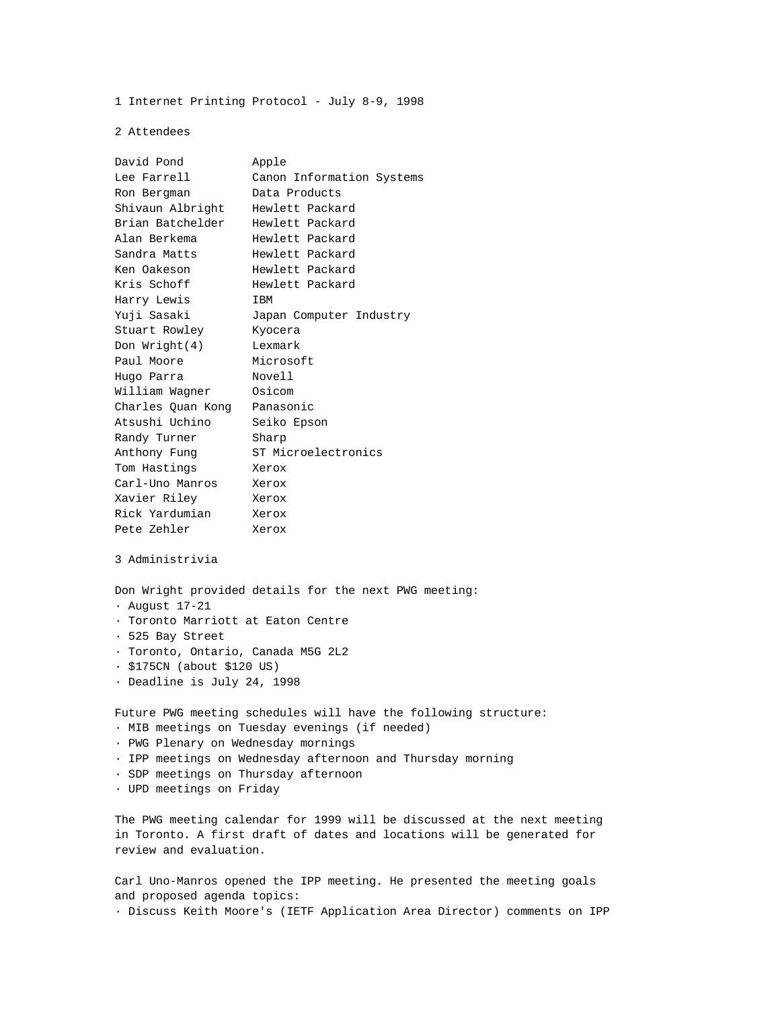1 Internet Printing Protocol - July 8-9, 1998

2 Attendees

| David Pond                                                      | Apple                     |
|-----------------------------------------------------------------|---------------------------|
| Lee Farrell                                                     | Canon Information Systems |
| Ron Bergman                                                     | Data Products             |
| Shivaun Albright                                                | Hewlett Packard           |
| Brian Batchelder                                                | Hewlett Packard           |
| Alan Berkema                                                    | Hewlett Packard           |
| Sandra Matts                                                    | Hewlett Packard           |
| Ken Oakeson                                                     | Hewlett Packard           |
| Kris Schoff                                                     | Hewlett Packard           |
| Harry Lewis                                                     | <b>IBM</b>                |
| Yuji Sasaki                                                     | Japan Computer Industry   |
| Stuart Rowley                                                   | Kyocera                   |
| Don Wright(4)                                                   | Lexmark                   |
| Paul Moore                                                      | Microsoft                 |
| Hugo Parra                                                      | Novell                    |
| William Wagner                                                  | Osicom                    |
| Charles Quan Kong                                               | Panasonic                 |
| Atsushi Uchino                                                  | Seiko Epson               |
| Randy Turner                                                    | Sharp                     |
| Anthony Fung                                                    | ST Microelectronics       |
| Tom Hastings                                                    | Xerox                     |
| Carl-Uno Manros                                                 | Xerox                     |
| Xavier Riley                                                    | Xerox                     |
| Rick Yardumian                                                  | Xerox                     |
| Pete Zehler                                                     | Xerox                     |
| 3 Administrivia                                                 |                           |
| Don Wright provided details for the next PWG meeting:           |                           |
| $\cdot$ August 17-21                                            |                           |
| · Toronto Marriott at Eaton Centre                              |                           |
| · 525 Bay Street                                                |                           |
| · Toronto, Ontario, Canada M5G 2L2                              |                           |
| · \$175CN (about \$120 US)                                      |                           |
| · Deadline is July 24, 1998                                     |                           |
| Future PWG meeting schedules will have the following structure: |                           |
| · MIB meetings on Tuesday evenings (if needed)                  |                           |
| · PWG Plenary on Wednesday mornings                             |                           |
| . IPP meetings on Wednesday afternoon and Thursday morning      |                           |
| · SDP meetings on Thursday afternoon                            |                           |

· UPD meetings on Friday

The PWG meeting calendar for 1999 will be discussed at the next meeting in Toronto. A first draft of dates and locations will be generated for review and evaluation.

Carl Uno-Manros opened the IPP meeting. He presented the meeting goals and proposed agenda topics:

· Discuss Keith Moore's (IETF Application Area Director) comments on IPP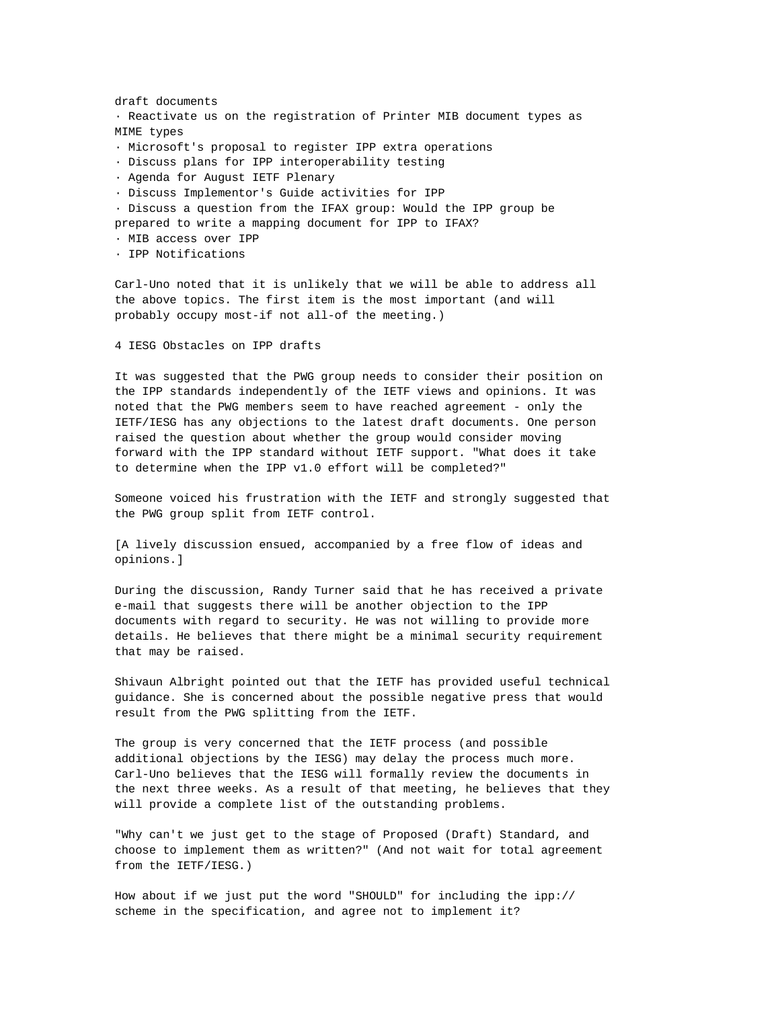draft documents · Reactivate us on the registration of Printer MIB document types as MIME types · Microsoft's proposal to register IPP extra operations · Discuss plans for IPP interoperability testing · Agenda for August IETF Plenary · Discuss Implementor's Guide activities for IPP · Discuss a question from the IFAX group: Would the IPP group be prepared to write a mapping document for IPP to IFAX? · MIB access over IPP · IPP Notifications

Carl-Uno noted that it is unlikely that we will be able to address all the above topics. The first item is the most important (and will probably occupy most-if not all-of the meeting.)

4 IESG Obstacles on IPP drafts

It was suggested that the PWG group needs to consider their position on the IPP standards independently of the IETF views and opinions. It was noted that the PWG members seem to have reached agreement - only the IETF/IESG has any objections to the latest draft documents. One person raised the question about whether the group would consider moving forward with the IPP standard without IETF support. "What does it take to determine when the IPP v1.0 effort will be completed?"

Someone voiced his frustration with the IETF and strongly suggested that the PWG group split from IETF control.

[A lively discussion ensued, accompanied by a free flow of ideas and opinions.]

During the discussion, Randy Turner said that he has received a private e-mail that suggests there will be another objection to the IPP documents with regard to security. He was not willing to provide more details. He believes that there might be a minimal security requirement that may be raised.

Shivaun Albright pointed out that the IETF has provided useful technical guidance. She is concerned about the possible negative press that would result from the PWG splitting from the IETF.

The group is very concerned that the IETF process (and possible additional objections by the IESG) may delay the process much more. Carl-Uno believes that the IESG will formally review the documents in the next three weeks. As a result of that meeting, he believes that they will provide a complete list of the outstanding problems.

"Why can't we just get to the stage of Proposed (Draft) Standard, and choose to implement them as written?" (And not wait for total agreement from the IETF/IESG.)

How about if we just put the word "SHOULD" for including the ipp:// scheme in the specification, and agree not to implement it?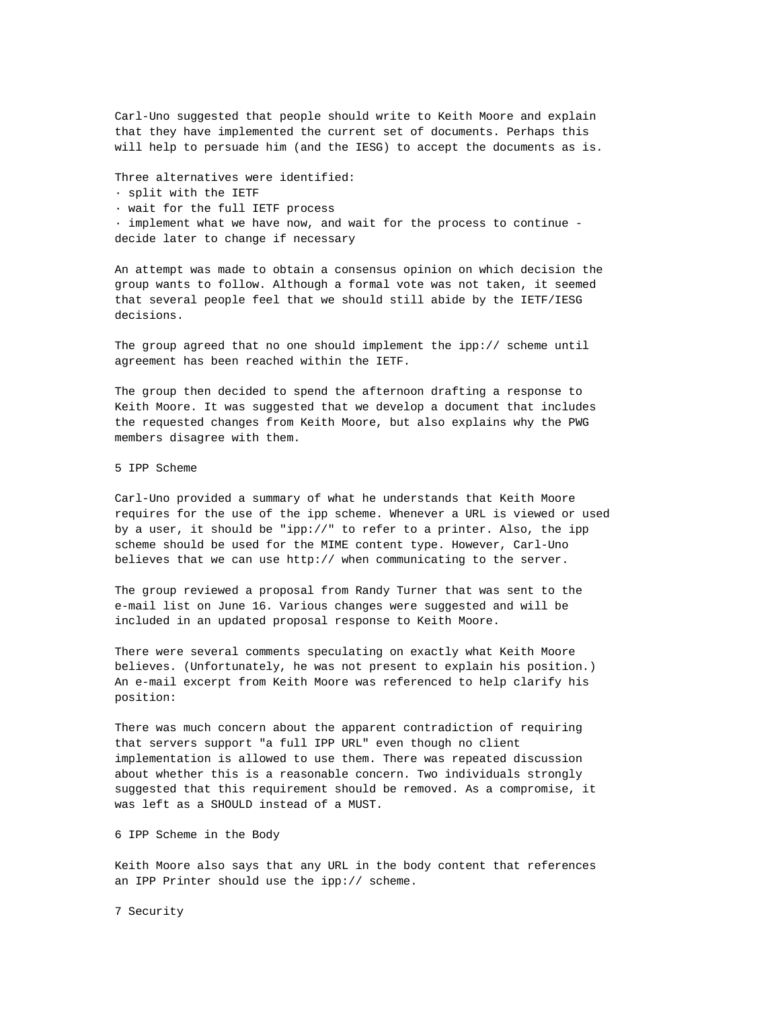Carl-Uno suggested that people should write to Keith Moore and explain that they have implemented the current set of documents. Perhaps this will help to persuade him (and the IESG) to accept the documents as is.

Three alternatives were identified:

· split with the IETF

· wait for the full IETF process

· implement what we have now, and wait for the process to continue decide later to change if necessary

An attempt was made to obtain a consensus opinion on which decision the group wants to follow. Although a formal vote was not taken, it seemed that several people feel that we should still abide by the IETF/IESG decisions.

The group agreed that no one should implement the ipp:// scheme until agreement has been reached within the IETF.

The group then decided to spend the afternoon drafting a response to Keith Moore. It was suggested that we develop a document that includes the requested changes from Keith Moore, but also explains why the PWG members disagree with them.

5 IPP Scheme

Carl-Uno provided a summary of what he understands that Keith Moore requires for the use of the ipp scheme. Whenever a URL is viewed or used by a user, it should be "ipp://" to refer to a printer. Also, the ipp scheme should be used for the MIME content type. However, Carl-Uno believes that we can use http:// when communicating to the server.

The group reviewed a proposal from Randy Turner that was sent to the e-mail list on June 16. Various changes were suggested and will be included in an updated proposal response to Keith Moore.

There were several comments speculating on exactly what Keith Moore believes. (Unfortunately, he was not present to explain his position.) An e-mail excerpt from Keith Moore was referenced to help clarify his position:

There was much concern about the apparent contradiction of requiring that servers support "a full IPP URL" even though no client implementation is allowed to use them. There was repeated discussion about whether this is a reasonable concern. Two individuals strongly suggested that this requirement should be removed. As a compromise, it was left as a SHOULD instead of a MUST.

6 IPP Scheme in the Body

Keith Moore also says that any URL in the body content that references an IPP Printer should use the ipp:// scheme.

7 Security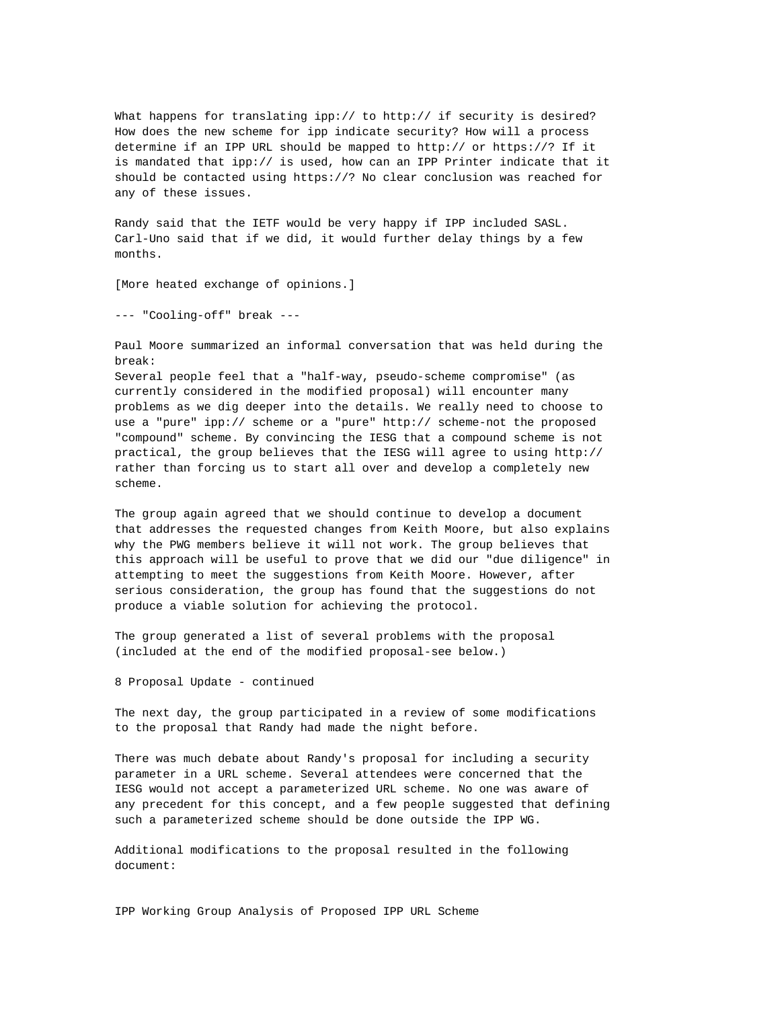What happens for translating ipp:// to http:// if security is desired? How does the new scheme for ipp indicate security? How will a process determine if an IPP URL should be mapped to http:// or https://? If it is mandated that ipp:// is used, how can an IPP Printer indicate that it should be contacted using https://? No clear conclusion was reached for any of these issues.

Randy said that the IETF would be very happy if IPP included SASL. Carl-Uno said that if we did, it would further delay things by a few months.

[More heated exchange of opinions.]

--- "Cooling-off" break ---

Paul Moore summarized an informal conversation that was held during the break:

Several people feel that a "half-way, pseudo-scheme compromise" (as currently considered in the modified proposal) will encounter many problems as we dig deeper into the details. We really need to choose to use a "pure" ipp:// scheme or a "pure" http:// scheme-not the proposed "compound" scheme. By convincing the IESG that a compound scheme is not practical, the group believes that the IESG will agree to using http:// rather than forcing us to start all over and develop a completely new scheme.

The group again agreed that we should continue to develop a document that addresses the requested changes from Keith Moore, but also explains why the PWG members believe it will not work. The group believes that this approach will be useful to prove that we did our "due diligence" in attempting to meet the suggestions from Keith Moore. However, after serious consideration, the group has found that the suggestions do not produce a viable solution for achieving the protocol.

The group generated a list of several problems with the proposal (included at the end of the modified proposal-see below.)

8 Proposal Update - continued

The next day, the group participated in a review of some modifications to the proposal that Randy had made the night before.

There was much debate about Randy's proposal for including a security parameter in a URL scheme. Several attendees were concerned that the IESG would not accept a parameterized URL scheme. No one was aware of any precedent for this concept, and a few people suggested that defining such a parameterized scheme should be done outside the IPP WG.

Additional modifications to the proposal resulted in the following document:

IPP Working Group Analysis of Proposed IPP URL Scheme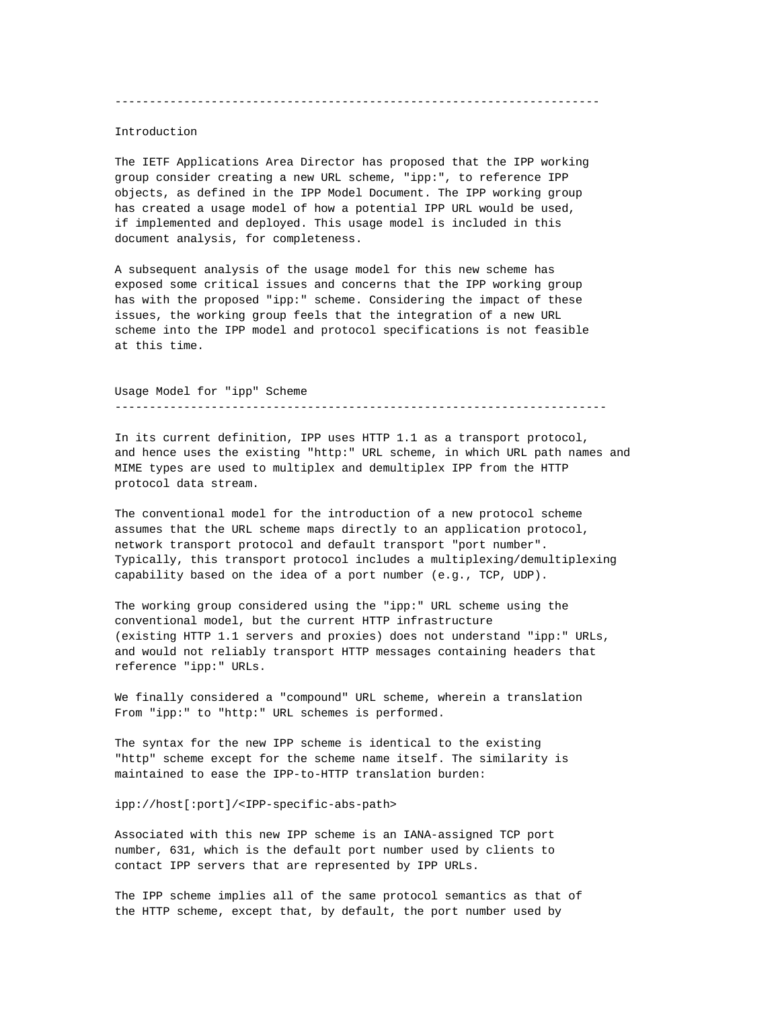## Introduction

The IETF Applications Area Director has proposed that the IPP working group consider creating a new URL scheme, "ipp:", to reference IPP objects, as defined in the IPP Model Document. The IPP working group has created a usage model of how a potential IPP URL would be used, if implemented and deployed. This usage model is included in this document analysis, for completeness.

A subsequent analysis of the usage model for this new scheme has exposed some critical issues and concerns that the IPP working group has with the proposed "ipp:" scheme. Considering the impact of these issues, the working group feels that the integration of a new URL scheme into the IPP model and protocol specifications is not feasible at this time.

Usage Model for "ipp" Scheme -----------------------------------------------------------------------

In its current definition, IPP uses HTTP 1.1 as a transport protocol, and hence uses the existing "http:" URL scheme, in which URL path names and MIME types are used to multiplex and demultiplex IPP from the HTTP protocol data stream.

The conventional model for the introduction of a new protocol scheme assumes that the URL scheme maps directly to an application protocol, network transport protocol and default transport "port number". Typically, this transport protocol includes a multiplexing/demultiplexing capability based on the idea of a port number (e.g., TCP, UDP).

The working group considered using the "ipp:" URL scheme using the conventional model, but the current HTTP infrastructure (existing HTTP 1.1 servers and proxies) does not understand "ipp:" URLs, and would not reliably transport HTTP messages containing headers that reference "ipp:" URLs.

We finally considered a "compound" URL scheme, wherein a translation From "ipp:" to "http:" URL schemes is performed.

The syntax for the new IPP scheme is identical to the existing "http" scheme except for the scheme name itself. The similarity is maintained to ease the IPP-to-HTTP translation burden:

ipp://host[:port]/<IPP-specific-abs-path>

Associated with this new IPP scheme is an IANA-assigned TCP port number, 631, which is the default port number used by clients to contact IPP servers that are represented by IPP URLs.

The IPP scheme implies all of the same protocol semantics as that of the HTTP scheme, except that, by default, the port number used by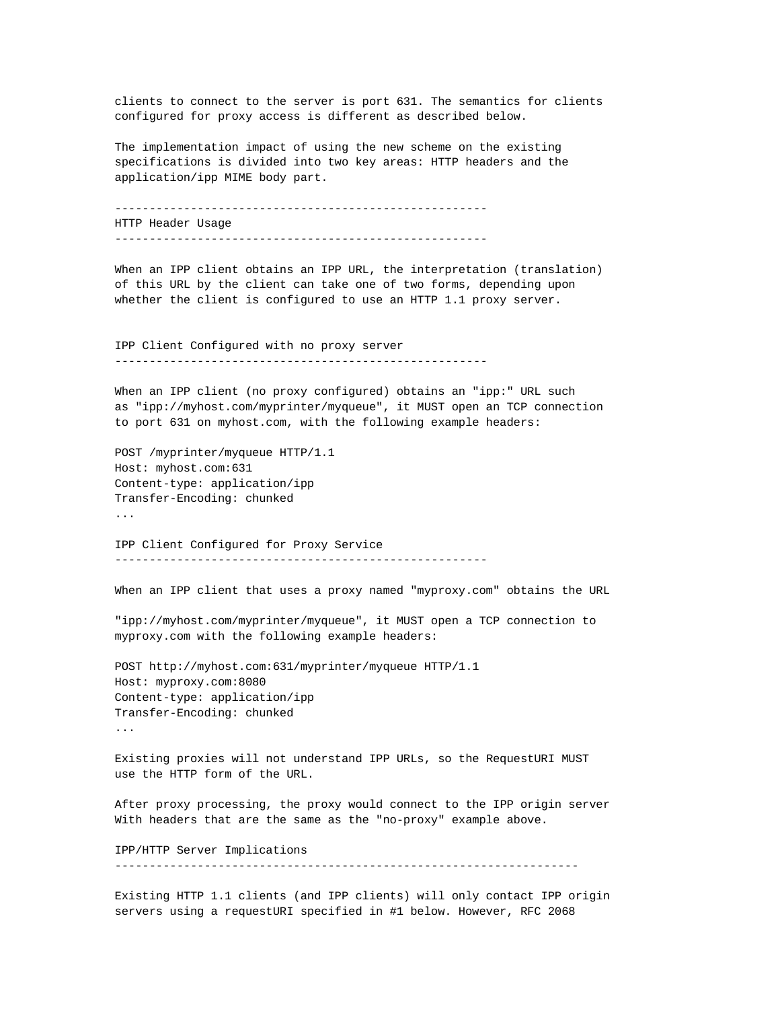clients to connect to the server is port 631. The semantics for clients configured for proxy access is different as described below.

The implementation impact of using the new scheme on the existing specifications is divided into two key areas: HTTP headers and the application/ipp MIME body part.

------------------------------------------------------ HTTP Header Usage ------------------------------------------------------

When an IPP client obtains an IPP URL, the interpretation (translation) of this URL by the client can take one of two forms, depending upon whether the client is configured to use an HTTP 1.1 proxy server.

IPP Client Configured with no proxy server ------------------------------------------------------

When an IPP client (no proxy configured) obtains an "ipp:" URL such as "ipp://myhost.com/myprinter/myqueue", it MUST open an TCP connection to port 631 on myhost.com, with the following example headers:

POST /myprinter/myqueue HTTP/1.1 Host: myhost.com:631 Content-type: application/ipp Transfer-Encoding: chunked ...

IPP Client Configured for Proxy Service ------------------------------------------------------

When an IPP client that uses a proxy named "myproxy.com" obtains the URL

"ipp://myhost.com/myprinter/myqueue", it MUST open a TCP connection to myproxy.com with the following example headers:

POST http://myhost.com:631/myprinter/myqueue HTTP/1.1 Host: myproxy.com:8080 Content-type: application/ipp Transfer-Encoding: chunked ...

Existing proxies will not understand IPP URLs, so the RequestURI MUST use the HTTP form of the URL.

After proxy processing, the proxy would connect to the IPP origin server With headers that are the same as the "no-proxy" example above.

IPP/HTTP Server Implications

-------------------------------------------------------------------

Existing HTTP 1.1 clients (and IPP clients) will only contact IPP origin servers using a requestURI specified in #1 below. However, RFC 2068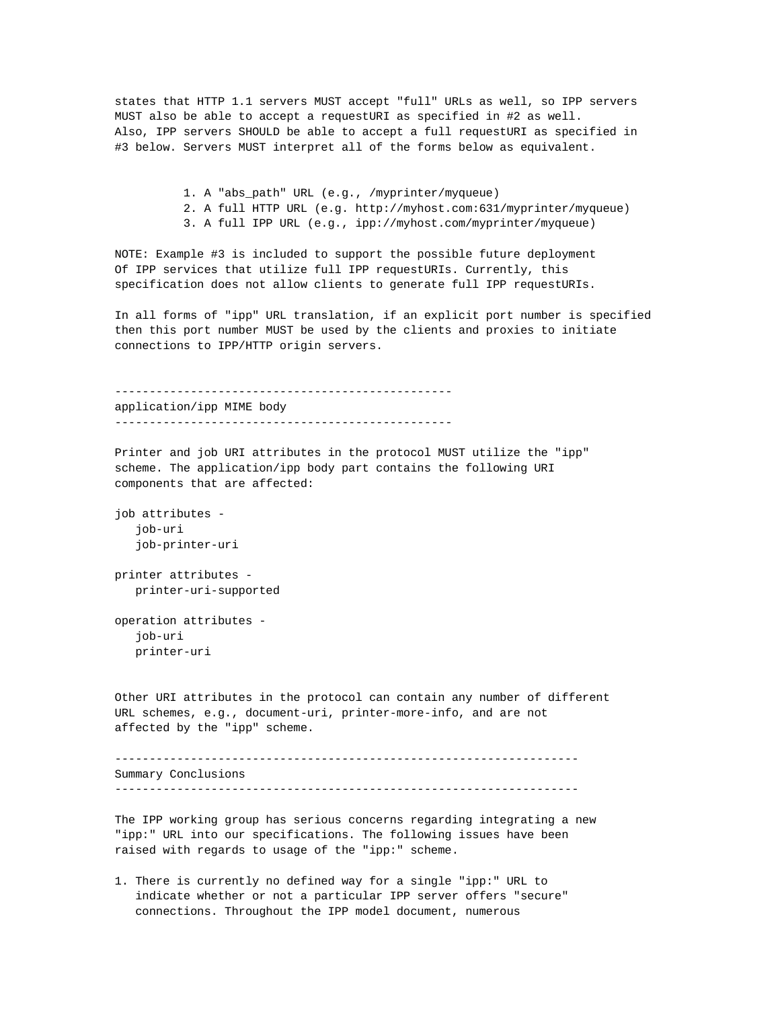states that HTTP 1.1 servers MUST accept "full" URLs as well, so IPP servers MUST also be able to accept a requestURI as specified in #2 as well. Also, IPP servers SHOULD be able to accept a full requestURI as specified in #3 below. Servers MUST interpret all of the forms below as equivalent.

> 1. A "abs\_path" URL (e.g., /myprinter/myqueue) 2. A full HTTP URL (e.g. http://myhost.com:631/myprinter/myqueue) 3. A full IPP URL (e.g., ipp://myhost.com/myprinter/myqueue)

NOTE: Example #3 is included to support the possible future deployment Of IPP services that utilize full IPP requestURIs. Currently, this specification does not allow clients to generate full IPP requestURIs.

In all forms of "ipp" URL translation, if an explicit port number is specified then this port number MUST be used by the clients and proxies to initiate connections to IPP/HTTP origin servers.

------------------------------------------------ application/ipp MIME body -------------------------------------------------

Printer and job URI attributes in the protocol MUST utilize the "ipp" scheme. The application/ipp body part contains the following URI components that are affected:

job attributes job-uri job-printer-uri

printer attributes printer-uri-supported

operation attributes job-uri printer-uri

Other URI attributes in the protocol can contain any number of different URL schemes, e.g., document-uri, printer-more-info, and are not affected by the "ipp" scheme.

------------------------------------------------------------------- Summary Conclusions -------------------------------------------------------------------

The IPP working group has serious concerns regarding integrating a new "ipp:" URL into our specifications. The following issues have been raised with regards to usage of the "ipp:" scheme.

1. There is currently no defined way for a single "ipp:" URL to indicate whether or not a particular IPP server offers "secure" connections. Throughout the IPP model document, numerous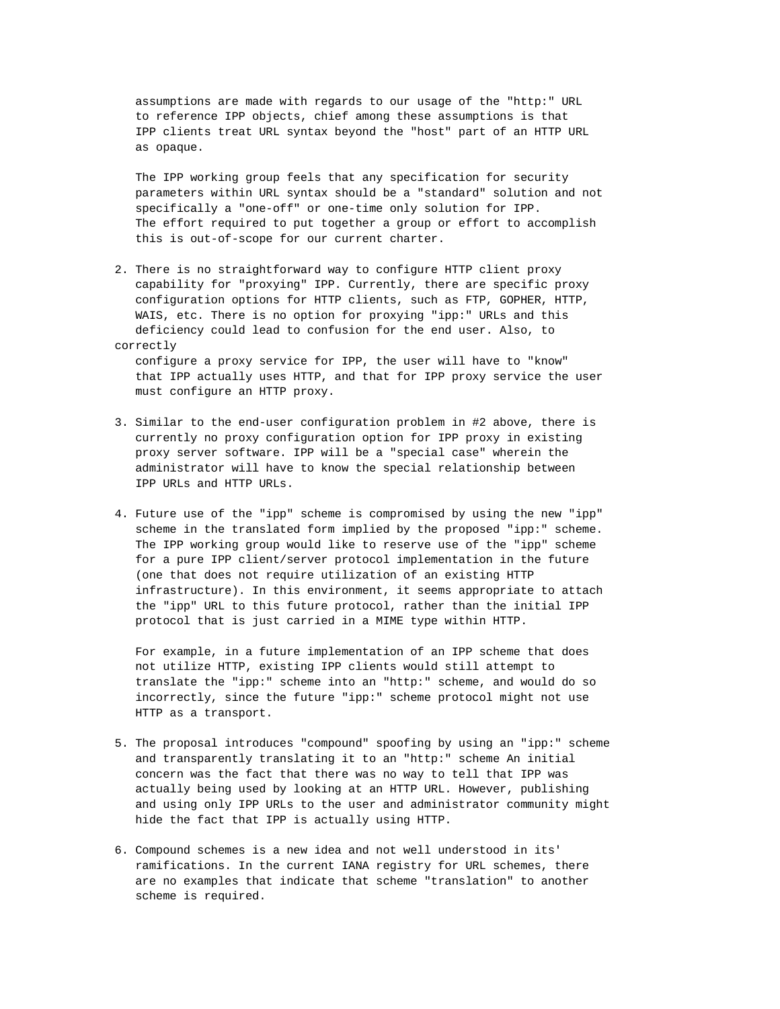assumptions are made with regards to our usage of the "http:" URL to reference IPP objects, chief among these assumptions is that IPP clients treat URL syntax beyond the "host" part of an HTTP URL as opaque.

 The IPP working group feels that any specification for security parameters within URL syntax should be a "standard" solution and not specifically a "one-off" or one-time only solution for IPP. The effort required to put together a group or effort to accomplish this is out-of-scope for our current charter.

2. There is no straightforward way to configure HTTP client proxy capability for "proxying" IPP. Currently, there are specific proxy configuration options for HTTP clients, such as FTP, GOPHER, HTTP, WAIS, etc. There is no option for proxying "ipp:" URLs and this deficiency could lead to confusion for the end user. Also, to correctly

 configure a proxy service for IPP, the user will have to "know" that IPP actually uses HTTP, and that for IPP proxy service the user must configure an HTTP proxy.

- 3. Similar to the end-user configuration problem in #2 above, there is currently no proxy configuration option for IPP proxy in existing proxy server software. IPP will be a "special case" wherein the administrator will have to know the special relationship between IPP URLs and HTTP URLs.
- 4. Future use of the "ipp" scheme is compromised by using the new "ipp" scheme in the translated form implied by the proposed "ipp:" scheme. The IPP working group would like to reserve use of the "ipp" scheme for a pure IPP client/server protocol implementation in the future (one that does not require utilization of an existing HTTP infrastructure). In this environment, it seems appropriate to attach the "ipp" URL to this future protocol, rather than the initial IPP protocol that is just carried in a MIME type within HTTP.

 For example, in a future implementation of an IPP scheme that does not utilize HTTP, existing IPP clients would still attempt to translate the "ipp:" scheme into an "http:" scheme, and would do so incorrectly, since the future "ipp:" scheme protocol might not use HTTP as a transport.

- 5. The proposal introduces "compound" spoofing by using an "ipp:" scheme and transparently translating it to an "http:" scheme An initial concern was the fact that there was no way to tell that IPP was actually being used by looking at an HTTP URL. However, publishing and using only IPP URLs to the user and administrator community might hide the fact that IPP is actually using HTTP.
- 6. Compound schemes is a new idea and not well understood in its' ramifications. In the current IANA registry for URL schemes, there are no examples that indicate that scheme "translation" to another scheme is required.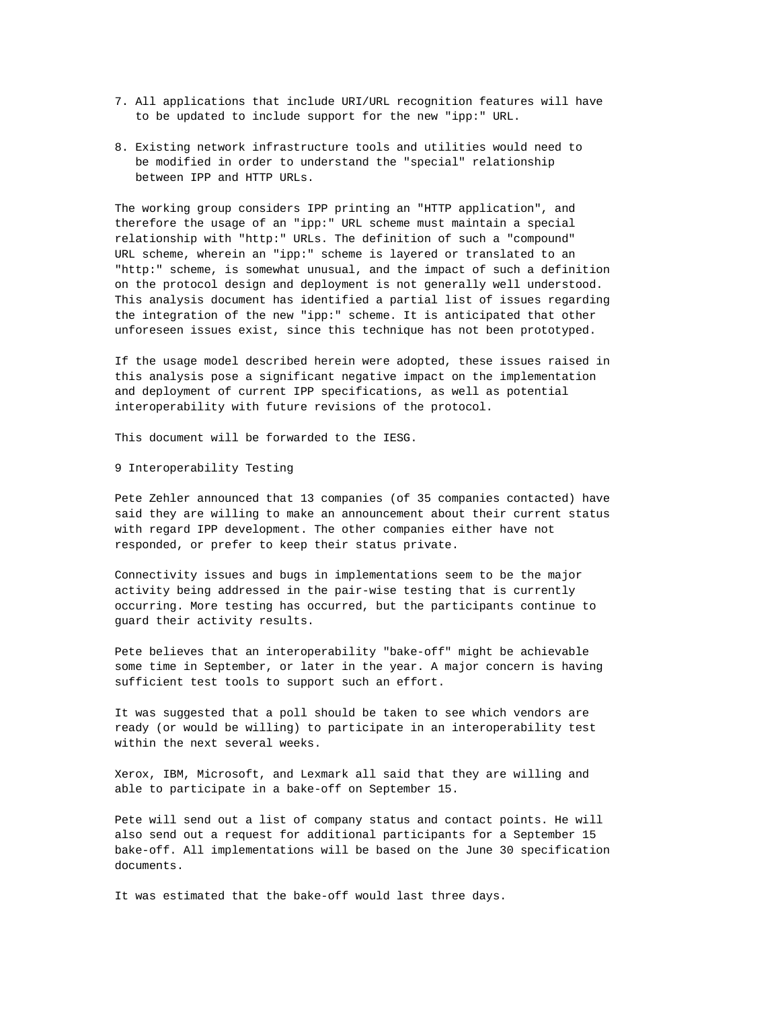- 7. All applications that include URI/URL recognition features will have to be updated to include support for the new "ipp:" URL.
- 8. Existing network infrastructure tools and utilities would need to be modified in order to understand the "special" relationship between IPP and HTTP URLs.

The working group considers IPP printing an "HTTP application", and therefore the usage of an "ipp:" URL scheme must maintain a special relationship with "http:" URLs. The definition of such a "compound" URL scheme, wherein an "ipp:" scheme is layered or translated to an "http:" scheme, is somewhat unusual, and the impact of such a definition on the protocol design and deployment is not generally well understood. This analysis document has identified a partial list of issues regarding the integration of the new "ipp:" scheme. It is anticipated that other unforeseen issues exist, since this technique has not been prototyped.

If the usage model described herein were adopted, these issues raised in this analysis pose a significant negative impact on the implementation and deployment of current IPP specifications, as well as potential interoperability with future revisions of the protocol.

This document will be forwarded to the IESG.

9 Interoperability Testing

Pete Zehler announced that 13 companies (of 35 companies contacted) have said they are willing to make an announcement about their current status with regard IPP development. The other companies either have not responded, or prefer to keep their status private.

Connectivity issues and bugs in implementations seem to be the major activity being addressed in the pair-wise testing that is currently occurring. More testing has occurred, but the participants continue to guard their activity results.

Pete believes that an interoperability "bake-off" might be achievable some time in September, or later in the year. A major concern is having sufficient test tools to support such an effort.

It was suggested that a poll should be taken to see which vendors are ready (or would be willing) to participate in an interoperability test within the next several weeks.

Xerox, IBM, Microsoft, and Lexmark all said that they are willing and able to participate in a bake-off on September 15.

Pete will send out a list of company status and contact points. He will also send out a request for additional participants for a September 15 bake-off. All implementations will be based on the June 30 specification documents.

It was estimated that the bake-off would last three days.